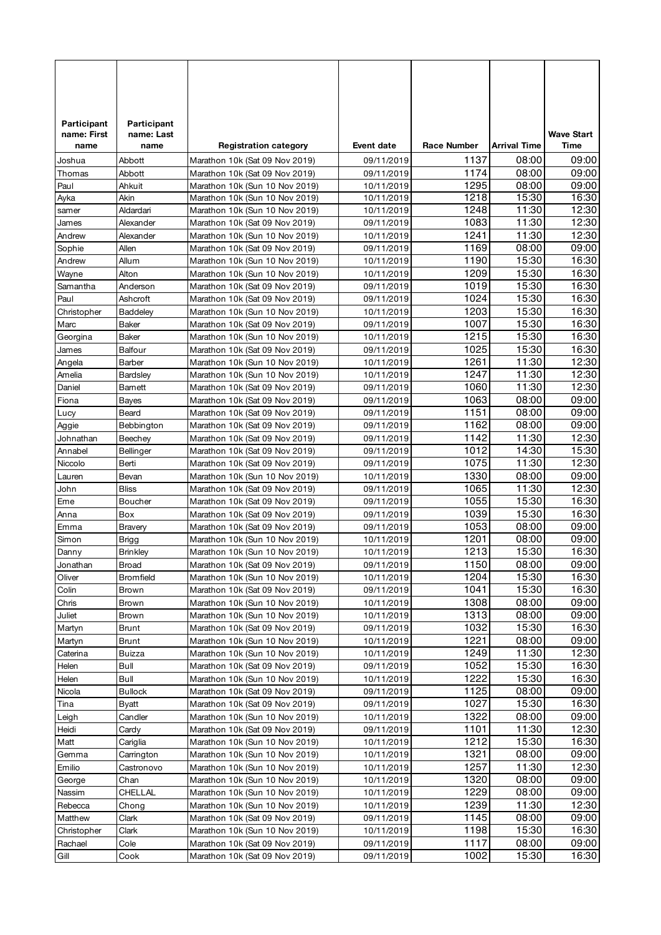| Participant      | Participant       |                                                                  |                          |                    |                     |                   |
|------------------|-------------------|------------------------------------------------------------------|--------------------------|--------------------|---------------------|-------------------|
| name: First      | name: Last        |                                                                  |                          |                    |                     | <b>Wave Start</b> |
| name             | name              | <b>Registration category</b>                                     | <b>Event date</b>        | <b>Race Number</b> | <b>Arrival Time</b> | Time              |
| Joshua           | Abbott            | Marathon 10k (Sat 09 Nov 2019)                                   | 09/11/2019               | 1137               | 08:00               | 09:00             |
| Thomas           | Abbott            | Marathon 10k (Sat 09 Nov 2019)                                   | 09/11/2019               | 1174               | 08:00               | 09:00             |
| Paul             | Ahkuit            | Marathon 10k (Sun 10 Nov 2019)                                   | 10/11/2019               | 1295               | 08:00               | 09:00             |
| Ayka             | Akin<br>Aldardari | Marathon 10k (Sun 10 Nov 2019)                                   | 10/11/2019               | 1218<br>1248       | 15:30<br>11:30      | 16:30<br>12:30    |
| samer<br>James   | Alexander         | Marathon 10k (Sun 10 Nov 2019)<br>Marathon 10k (Sat 09 Nov 2019) | 10/11/2019<br>09/11/2019 | 1083               | 11:30               | 12:30             |
| Andrew           | Alexander         | Marathon 10k (Sun 10 Nov 2019)                                   | 10/11/2019               | 1241               | 11:30               | 12:30             |
| Sophie           | Allen             | Marathon 10k (Sat 09 Nov 2019)                                   | 09/11/2019               | 1169               | 08:00               | 09:00             |
| Andrew           | Allum             | Marathon 10k (Sun 10 Nov 2019)                                   | 10/11/2019               | 1190               | 15:30               | 16:30             |
| Wayne            | Alton             | Marathon 10k (Sun 10 Nov 2019)                                   | 10/11/2019               | 1209               | 15:30               | 16:30             |
| Samantha         | Anderson          | Marathon 10k (Sat 09 Nov 2019)                                   | 09/11/2019               | 1019               | 15:30               | 16:30             |
| Paul             | Ashcroft          | Marathon 10k (Sat 09 Nov 2019)                                   | 09/11/2019               | 1024               | 15:30               | 16:30             |
| Christopher      | <b>Baddeley</b>   | Marathon 10k (Sun 10 Nov 2019)                                   | 10/11/2019               | 1203               | 15:30               | 16:30             |
| Marc             | Baker             | Marathon 10k (Sat 09 Nov 2019)                                   | 09/11/2019               | 1007               | 15:30               | 16:30             |
| Georgina         | Baker             | Marathon 10k (Sun 10 Nov 2019)                                   | 10/11/2019               | 1215               | 15:30               | 16:30             |
| James            | <b>Balfour</b>    | Marathon 10k (Sat 09 Nov 2019)                                   | 09/11/2019               | 1025               | 15:30               | 16:30             |
| Angela           | Barber            | Marathon 10k (Sun 10 Nov 2019)                                   | 10/11/2019               | 1261               | 11:30               | 12:30             |
| Amelia           | Bardsley          | Marathon 10k (Sun 10 Nov 2019)                                   | 10/11/2019               | 1247               | 11:30               | 12:30             |
| Daniel           | Barnett           | Marathon 10k (Sat 09 Nov 2019)                                   | 09/11/2019               | 1060               | 11:30               | 12:30             |
| Fiona            | Bayes             | Marathon 10k (Sat 09 Nov 2019)                                   | 09/11/2019               | 1063               | 08:00               | 09:00             |
| Lucy             | Beard             | Marathon 10k (Sat 09 Nov 2019)                                   | 09/11/2019               | 1151               | 08:00               | 09:00             |
| Aggie            | Bebbington        | Marathon 10k (Sat 09 Nov 2019)                                   | 09/11/2019               | 1162               | 08:00               | 09:00             |
| Johnathan        | Beechey           | Marathon 10k (Sat 09 Nov 2019)                                   | 09/11/2019               | 1142               | 11:30               | 12:30             |
| Annabel          | Bellinger         | Marathon 10k (Sat 09 Nov 2019)                                   | 09/11/2019               | 1012               | 14:30               | 15:30             |
| Niccolo          | Berti             | Marathon 10k (Sat 09 Nov 2019)                                   | 09/11/2019               | 1075               | 11:30               | 12:30             |
| Lauren           | Bevan             | Marathon 10k (Sun 10 Nov 2019)                                   | 10/11/2019               | 1330               | 08:00               | 09:00             |
| John             | <b>Bliss</b>      | Marathon 10k (Sat 09 Nov 2019)                                   | 09/11/2019               | 1065               | 11:30               | 12:30             |
| Eme              | Boucher           | Marathon 10k (Sat 09 Nov 2019)                                   | 09/11/2019               | 1055               | 15:30               | 16:30             |
| Anna             | Box               | Marathon 10k (Sat 09 Nov 2019)                                   | 09/11/2019               | 1039               | 15:30               | 16:30             |
| Emma             | Bravery           | Marathon 10k (Sat 09 Nov 2019)                                   | 09/11/2019               | 1053               | 08:00               | 09:00             |
| Simon            | Brigg             | Marathon 10k (Sun 10 Nov 2019)                                   | 10/11/2019               | 1201               | 08:00               | 09:00             |
| Danny            | <b>Brinkley</b>   | Marathon 10k (Sun 10 Nov 2019)                                   | 10/11/2019               | 1213               | 15:30               | 16:30             |
| Jonathan         | <b>Broad</b>      | Marathon 10k (Sat 09 Nov 2019)                                   | 09/11/2019               | 1150               | 08:00               | 09:00             |
| Oliver           | Bromfield         | Marathon 10k (Sun 10 Nov 2019)                                   | 10/11/2019               | 1204               | 15:30<br>15:30      | 16:30             |
| Colin            | Brown             | Marathon 10k (Sat 09 Nov 2019)                                   | 09/11/2019               | 1041               |                     | 16:30             |
| Chris            | Brown             | Marathon 10k (Sun 10 Nov 2019)<br>Marathon 10k (Sun 10 Nov 2019) | 10/11/2019<br>10/11/2019 | 1308<br>1313       | 08:00<br>08:00      | 09:00<br>09:00    |
| Juliet<br>Martyn | Brown<br>Brunt    | Marathon 10k (Sat 09 Nov 2019)                                   | 09/11/2019               | 1032               | 15:30               | 16:30             |
| Martyn           | Brunt             | Marathon 10k (Sun 10 Nov 2019)                                   | 10/11/2019               | 1221               | 08:00               | 09:00             |
| Caterina         | Buizza            | Marathon 10k (Sun 10 Nov 2019)                                   | 10/11/2019               | 1249               | 11:30               | 12:30             |
| Helen            | Bull              | Marathon 10k (Sat 09 Nov 2019)                                   | 09/11/2019               | 1052               | 15:30               | 16:30             |
| Helen            | Bull              | Marathon 10k (Sun 10 Nov 2019)                                   | 10/11/2019               | 1222               | 15:30               | 16:30             |
| Nicola           | <b>Bullock</b>    | Marathon 10k (Sat 09 Nov 2019)                                   | 09/11/2019               | 1125               | 08:00               | 09:00             |
| Tina             | <b>Byatt</b>      | Marathon 10k (Sat 09 Nov 2019)                                   | 09/11/2019               | 1027               | 15:30               | 16:30             |
| Leigh            | Candler           | Marathon 10k (Sun 10 Nov 2019)                                   | 10/11/2019               | 1322               | 08:00               | 09:00             |
| Heidi            | Cardy             | Marathon 10k (Sat 09 Nov 2019)                                   | 09/11/2019               | 1101               | 11:30               | 12:30             |
| Matt             | Cariglia          | Marathon 10k (Sun 10 Nov 2019)                                   | 10/11/2019               | 1212               | 15:30               | 16:30             |
| Gemma            | Carrington        | Marathon 10k (Sun 10 Nov 2019)                                   | 10/11/2019               | 1321               | 08:00               | 09:00             |
| Emilio           | Castronovo        | Marathon 10k (Sun 10 Nov 2019)                                   | 10/11/2019               | 1257               | 11:30               | 12:30             |
| George           | Chan              | Marathon 10k (Sun 10 Nov 2019)                                   | 10/11/2019               | 1320               | 08:00               | 09:00             |
| Nassim           | CHELLAL           | Marathon 10k (Sun 10 Nov 2019)                                   | 10/11/2019               | 1229               | 08:00               | 09:00             |
| Rebecca          | Chong             | Marathon 10k (Sun 10 Nov 2019)                                   | 10/11/2019               | 1239               | 11:30               | 12:30             |
| Matthew          | Clark             | Marathon 10k (Sat 09 Nov 2019)                                   | 09/11/2019               | 1145               | 08:00               | 09:00             |
| Christopher      | Clark             | Marathon 10k (Sun 10 Nov 2019)                                   | 10/11/2019               | 1198               | 15:30               | 16:30             |
| Rachael          | Cole              | Marathon 10k (Sat 09 Nov 2019)                                   | 09/11/2019               | 1117               | 08:00               | 09:00             |
| Gill             | Cook              | Marathon 10k (Sat 09 Nov 2019)                                   | 09/11/2019               | 1002               | 15:30               | 16:30             |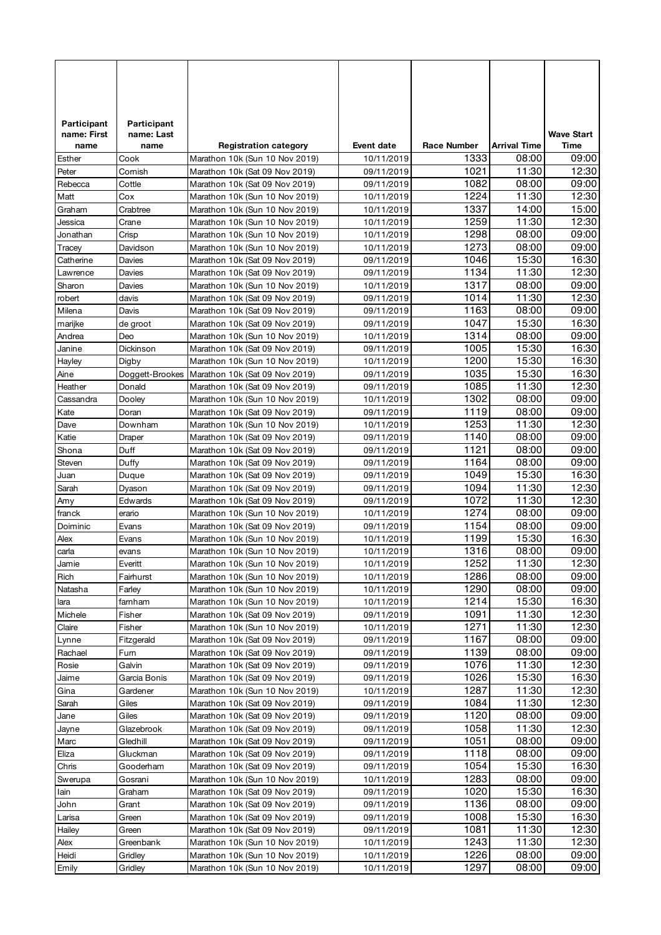| Participant   | Participant       |                                                                  |                          |                    |                     |                   |
|---------------|-------------------|------------------------------------------------------------------|--------------------------|--------------------|---------------------|-------------------|
| name: First   | name: Last        |                                                                  |                          |                    |                     | <b>Wave Start</b> |
| name          | name              | <b>Registration category</b>                                     | <b>Event date</b>        | <b>Race Number</b> | <b>Arrival Time</b> | Time              |
| Esther        | Cook              | Marathon 10k (Sun 10 Nov 2019)                                   | 10/11/2019               | 1333               | 08:00               | 09:00             |
| Peter         | Cornish           | Marathon 10k (Sat 09 Nov 2019)                                   | 09/11/2019               | 1021               | 11:30               | 12:30             |
| Rebecca       | Cottle            | Marathon 10k (Sat 09 Nov 2019)                                   | 09/11/2019               | 1082               | 08:00               | 09:00             |
| Matt          | Cox               | Marathon 10k (Sun 10 Nov 2019)                                   | 10/11/2019               | 1224               | 11:30               | 12:30             |
| Graham        | Crabtree          | Marathon 10k (Sun 10 Nov 2019)                                   | 10/11/2019               | 1337               | 14:00               | 15:00             |
| Jessica       | Crane             | Marathon 10k (Sun 10 Nov 2019)                                   | 10/11/2019               | 1259               | 11:30               | 12:30             |
| Jonathan      | Crisp             | Marathon 10k (Sun 10 Nov 2019)                                   | 10/11/2019               | 1298               | 08:00               | 09:00             |
| Tracey        | Davidson          | Marathon 10k (Sun 10 Nov 2019)                                   | 10/11/2019               | 1273               | 08:00               | 09:00             |
| Catherine     | Davies            | Marathon 10k (Sat 09 Nov 2019)                                   | 09/11/2019               | 1046               | 15:30               | 16:30             |
| Lawrence      | Davies            | Marathon 10k (Sat 09 Nov 2019)                                   | 09/11/2019               | 1134               | 11:30               | 12:30             |
| Sharon        | Davies            | Marathon 10k (Sun 10 Nov 2019)                                   | 10/11/2019               | 1317               | 08:00               | 09:00             |
| robert        | davis             | Marathon 10k (Sat 09 Nov 2019)                                   | 09/11/2019               | 1014               | 11:30               | 12:30             |
| Milena        | Davis             | Marathon 10k (Sat 09 Nov 2019)                                   | 09/11/2019               | 1163               | 08:00               | 09:00             |
| marijke       | de groot          | Marathon 10k (Sat 09 Nov 2019)                                   | 09/11/2019               | 1047               | 15:30               | 16:30             |
| Andrea        | Deo               | Marathon 10k (Sun 10 Nov 2019)                                   | 10/11/2019               | 1314               | 08:00<br>15:30      | 09:00             |
| Janine        | Dickinson         | Marathon 10k (Sat 09 Nov 2019)                                   | 09/11/2019               | 1005               |                     | 16:30<br>16:30    |
| Hayley        | Digby             | Marathon 10k (Sun 10 Nov 2019)                                   | 10/11/2019               | 1200<br>1035       | 15:30<br>15:30      | 16:30             |
| Aine          | Doggett-Brookes   | Marathon 10k (Sat 09 Nov 2019)                                   | 09/11/2019               |                    |                     |                   |
| Heather       | Donald            | Marathon 10k (Sat 09 Nov 2019)                                   | 09/11/2019               | 1085<br>1302       | 11:30<br>08:00      | 12:30<br>09:00    |
| Cassandra     | Dooley            | Marathon 10k (Sun 10 Nov 2019)                                   | 10/11/2019               | 1119               |                     | 09:00             |
| Kate          | Doran             | Marathon 10k (Sat 09 Nov 2019)<br>Marathon 10k (Sun 10 Nov 2019) | 09/11/2019               | 1253               | 08:00<br>11:30      | 12:30             |
| Dave<br>Katie | Downham<br>Draper | Marathon 10k (Sat 09 Nov 2019)                                   | 10/11/2019<br>09/11/2019 | 1140               | 08:00               | 09:00             |
| Shona         | Duff              | Marathon 10k (Sat 09 Nov 2019)                                   | 09/11/2019               | 1121               | 08:00               | 09:00             |
| Steven        | Duffy             | Marathon 10k (Sat 09 Nov 2019)                                   | 09/11/2019               | 1164               | 08:00               | 09:00             |
| Juan          | Duque             | Marathon 10k (Sat 09 Nov 2019)                                   | 09/11/2019               | 1049               | 15:30               | 16:30             |
| Sarah         | Dyason            | Marathon 10k (Sat 09 Nov 2019)                                   | 09/11/2019               | 1094               | 11:30               | 12:30             |
| Amy           | Edwards           | Marathon 10k (Sat 09 Nov 2019)                                   | 09/11/2019               | 1072               | 11:30               | 12:30             |
| franck        | erario            | Marathon 10k (Sun 10 Nov 2019)                                   | 10/11/2019               | 1274               | 08:00               | 09:00             |
| Doiminic      | Evans             | Marathon 10k (Sat 09 Nov 2019)                                   | 09/11/2019               | 1154               | 08:00               | 09:00             |
| Alex          | Evans             | Marathon 10k (Sun 10 Nov 2019)                                   | 10/11/2019               | 1199               | 15:30               | 16:30             |
| carla         | evans             | Marathon 10k (Sun 10 Nov 2019)                                   | 10/11/2019               | 1316               | 08:00               | 09:00             |
| Jamie         | Everitt           | Marathon 10k (Sun 10 Nov 2019)                                   | 10/11/2019               | 1252               | 11:30               | 12:30             |
| Rich          | Fairhurst         | Marathon 10k (Sun 10 Nov 2019)                                   | 10/11/2019               | 1286               | 08:00               | 09:00             |
| Natasha       | Farley            | Marathon 10k (Sun 10 Nov 2019)                                   | 10/11/2019               | 1290               | 08:00               | 09:00             |
| lara          | famham            | Marathon 10k (Sun 10 Nov 2019)                                   | 10/11/2019               | 1214               | 15:30               | 16:30             |
| Michele       | Fisher            | Marathon 10k (Sat 09 Nov 2019)                                   | 09/11/2019               | 1091               | 11:30               | 12:30             |
| Claire        | Fisher            | Marathon 10k (Sun 10 Nov 2019)                                   | 10/11/2019               | 1271               | 11:30               | 12:30             |
| Lynne         | Fitzgerald        | Marathon 10k (Sat 09 Nov 2019)                                   | 09/11/2019               | 1167               | 08:00               | 09:00             |
| Rachael       | Fum               | Marathon 10k (Sat 09 Nov 2019)                                   | 09/11/2019               | 1139               | 08:00               | 09:00             |
| Rosie         | Galvin            | Marathon 10k (Sat 09 Nov 2019)                                   | 09/11/2019               | 1076               | 11:30               | 12:30             |
| Jaime         | Garcia Bonis      | Marathon 10k (Sat 09 Nov 2019)                                   | 09/11/2019               | 1026               | 15:30               | 16:30             |
| Gina          | Gardener          | Marathon 10k (Sun 10 Nov 2019)                                   | 10/11/2019               | 1287               | 11:30               | 12:30             |
| Sarah         | Giles             | Marathon 10k (Sat 09 Nov 2019)                                   | 09/11/2019               | 1084               | 11:30               | 12:30             |
| Jane          | Giles             | Marathon 10k (Sat 09 Nov 2019)                                   | 09/11/2019               | 1120               | 08:00               | 09:00             |
| Jayne         | Glazebrook        | Marathon 10k (Sat 09 Nov 2019)                                   | 09/11/2019               | 1058               | 11:30               | 12:30             |
| Marc          | Gledhill          | Marathon 10k (Sat 09 Nov 2019)                                   | 09/11/2019               | 1051               | 08:00               | 09:00             |
| Eliza         | Gluckman          | Marathon 10k (Sat 09 Nov 2019)                                   | 09/11/2019               | 1118               | 08:00               | 09:00             |
| Chris         | Gooderham         | Marathon 10k (Sat 09 Nov 2019)                                   | 09/11/2019               | 1054               | 15:30               | 16:30             |
| Swerupa       | Gosrani           | Marathon 10k (Sun 10 Nov 2019)                                   | 10/11/2019               | 1283               | 08:00               | 09:00             |
| lain          | Graham            | Marathon 10k (Sat 09 Nov 2019)                                   | 09/11/2019               | 1020               | 15:30               | 16:30             |
| John          | Grant             | Marathon 10k (Sat 09 Nov 2019)                                   | 09/11/2019               | 1136               | 08:00               | 09:00             |
| Larisa        | Green             | Marathon 10k (Sat 09 Nov 2019)                                   | 09/11/2019               | 1008               | 15:30               | 16:30             |
| Hailey        | Green             | Marathon 10k (Sat 09 Nov 2019)                                   | 09/11/2019               | 1081               | 11:30               | 12:30             |
| Alex          | Greenbank         | Marathon 10k (Sun 10 Nov 2019)                                   | 10/11/2019               | 1243               | 11:30               | 12:30             |
| Heidi         | Gridley           | Marathon 10k (Sun 10 Nov 2019)                                   | 10/11/2019               | 1226               | 08:00               | 09:00             |
| Emily         | Gridley           | Marathon 10k (Sun 10 Nov 2019)                                   | 10/11/2019               | 1297               | 08:00               | 09:00             |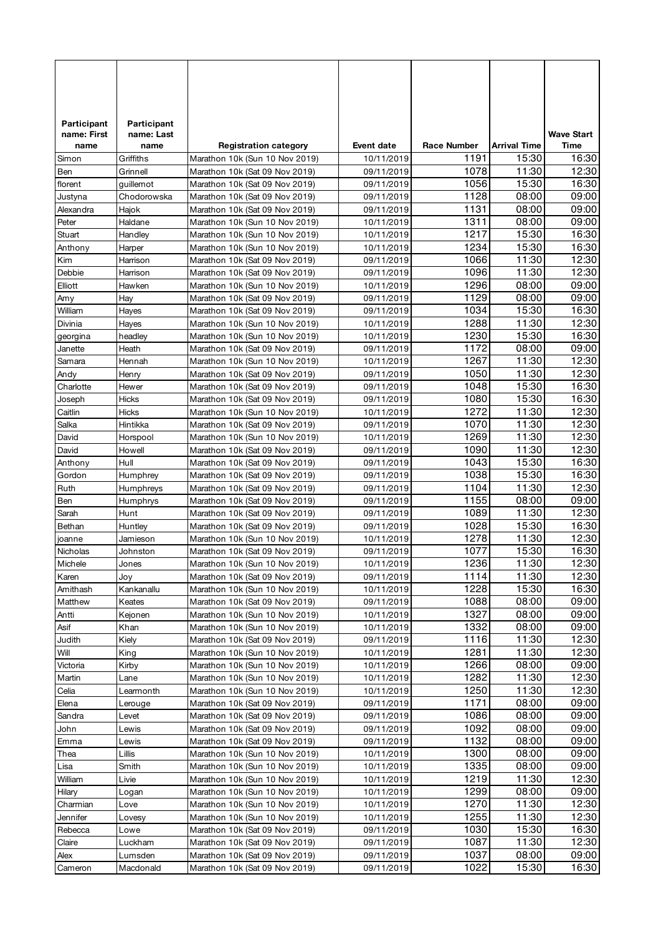| Participant         | Participant        |                                                                  |                          |                    |                     |                           |
|---------------------|--------------------|------------------------------------------------------------------|--------------------------|--------------------|---------------------|---------------------------|
| name: First<br>name | name: Last<br>name |                                                                  | <b>Event date</b>        | <b>Race Number</b> | <b>Arrival Time</b> | <b>Wave Start</b><br>Time |
| Simon               | Griffiths          | <b>Registration category</b><br>Marathon 10k (Sun 10 Nov 2019)   | 10/11/2019               | 1191               | 15:30               | 16:30                     |
| Ben                 | Grinnell           | Marathon 10k (Sat 09 Nov 2019)                                   | 09/11/2019               | 1078               | 11:30               | 12:30                     |
| florent             | quillemot          | Marathon 10k (Sat 09 Nov 2019)                                   | 09/11/2019               | 1056               | 15:30               | 16:30                     |
| Justyna             | Chodorowska        | Marathon 10k (Sat 09 Nov 2019)                                   | 09/11/2019               | 1128               | 08:00               | 09:00                     |
| Alexandra           | Hajok              | Marathon 10k (Sat 09 Nov 2019)                                   | 09/11/2019               | 1131               | 08:00               | 09:00                     |
| Peter               | Haldane            | Marathon 10k (Sun 10 Nov 2019)                                   | 10/11/2019               | 1311               | 08:00               | 09:00                     |
| Stuart              | Handley            | Marathon 10k (Sun 10 Nov 2019)                                   | 10/11/2019               | 1217               | 15:30               | 16:30                     |
| Anthony             | Harper             | Marathon 10k (Sun 10 Nov 2019)                                   | 10/11/2019               | 1234               | 15:30               | 16:30                     |
| Kim                 | Harrison           | Marathon 10k (Sat 09 Nov 2019)                                   | 09/11/2019               | 1066               | 11:30               | 12:30                     |
| Debbie              | Harrison           | Marathon 10k (Sat 09 Nov 2019)                                   | 09/11/2019               | 1096               | 11:30               | 12:30                     |
| Elliott             | Hawken             | Marathon 10k (Sun 10 Nov 2019)                                   | 10/11/2019               | 1296               | 08:00               | 09:00                     |
| Amy                 | Hay                | Marathon 10k (Sat 09 Nov 2019)                                   | 09/11/2019               | 1129               | 08:00               | 09:00                     |
| William             | Hayes              | Marathon 10k (Sat 09 Nov 2019)                                   | 09/11/2019               | 1034               | 15:30               | 16:30                     |
| Divinia             | Hayes              | Marathon 10k (Sun 10 Nov 2019)                                   | 10/11/2019               | 1288               | 11:30               | 12:30                     |
| georgina            | headley            | Marathon 10k (Sun 10 Nov 2019)                                   | 10/11/2019               | 1230               | 15:30               | 16:30                     |
| Janette             | Heath              | Marathon 10k (Sat 09 Nov 2019)                                   | 09/11/2019               | 1172               | 08:00               | 09:00                     |
| Samara              | Hennah             | Marathon 10k (Sun 10 Nov 2019)                                   | 10/11/2019               | 1267               | 11:30               | 12:30                     |
| Andy                | Henry              | Marathon 10k (Sat 09 Nov 2019)                                   | 09/11/2019               | 1050               | 11:30               | 12:30                     |
| Charlotte           | Hewer              | Marathon 10k (Sat 09 Nov 2019)                                   | 09/11/2019               | 1048               | 15:30               | 16:30                     |
| Joseph              | Hicks              | Marathon 10k (Sat 09 Nov 2019)                                   | 09/11/2019               | 1080               | 15:30               | 16:30                     |
| Caitlin             | Hicks              | Marathon 10k (Sun 10 Nov 2019)                                   | 10/11/2019               | 1272               | 11:30               | 12:30<br>12:30            |
| Salka               | Hintikka           | Marathon 10k (Sat 09 Nov 2019)                                   | 09/11/2019               | 1070<br>1269       | 11:30<br>11:30      | 12:30                     |
| David               | Horspool           | Marathon 10k (Sun 10 Nov 2019)                                   | 10/11/2019               | 1090               | 11:30               | 12:30                     |
| David<br>Anthony    | Howell<br>Hull     | Marathon 10k (Sat 09 Nov 2019)<br>Marathon 10k (Sat 09 Nov 2019) | 09/11/2019<br>09/11/2019 | 1043               | 15:30               | 16:30                     |
| Gordon              | Humphrey           | Marathon 10k (Sat 09 Nov 2019)                                   | 09/11/2019               | 1038               | 15:30               | 16:30                     |
| Ruth                | Humphreys          | Marathon 10k (Sat 09 Nov 2019)                                   | 09/11/2019               | 1104               | 11:30               | 12:30                     |
| Ben                 | Humphrys           | Marathon 10k (Sat 09 Nov 2019)                                   | 09/11/2019               | 1155               | 08:00               | 09:00                     |
| Sarah               | Hunt               | Marathon 10k (Sat 09 Nov 2019)                                   | 09/11/2019               | 1089               | 11:30               | 12:30                     |
| Bethan              | Huntley            | Marathon 10k (Sat 09 Nov 2019)                                   | 09/11/2019               | 1028               | 15:30               | 16:30                     |
| joanne              | Jamieson           | Marathon 10k (Sun 10 Nov 2019)                                   | 10/11/2019               | 1278               | 11:30               | 12:30                     |
| Nicholas            | Johnston           | Marathon 10k (Sat 09 Nov 2019)                                   | 09/11/2019               | 1077               | 15:30               | 16:30                     |
| Michele             | Jones              | Marathon 10k (Sun 10 Nov 2019)                                   | 10/11/2019               | 1236               | 11:30               | 12:30                     |
| Karen               | Joy                | Marathon 10k (Sat 09 Nov 2019)                                   | 09/11/2019               | 1114               | 11:30               | 12:30                     |
| Amithash            | Kankanallu         | Marathon 10k (Sun 10 Nov 2019)                                   | 10/11/2019               | 1228               | 15:30               | 16:30                     |
| Matthew             | Keates             | Marathon 10k (Sat 09 Nov 2019)                                   | 09/11/2019               | 1088               | 08:00               | 09:00                     |
| Antti               | Kejonen            | Marathon 10k (Sun 10 Nov 2019)                                   | 10/11/2019               | 1327               | 08:00               | 09:00                     |
| Asif                | Khan               | Marathon 10k (Sun 10 Nov 2019)                                   | 10/11/2019               | 1332               | 08:00               | 09:00                     |
| Judith              | Kiely              | Marathon 10k (Sat 09 Nov 2019)                                   | 09/11/2019               | 1116               | 11:30               | 12:30                     |
| Will                | King               | Marathon 10k (Sun 10 Nov 2019)                                   | 10/11/2019               | 1281               | 11:30               | 12:30                     |
| Victoria            | Kirby              | Marathon 10k (Sun 10 Nov 2019)                                   | 10/11/2019               | 1266               | 08:00               | 09:00                     |
| Martin              | Lane               | Marathon 10k (Sun 10 Nov 2019)                                   | 10/11/2019               | 1282               | 11:30               | 12:30                     |
| Celia               | Learmonth          | Marathon 10k (Sun 10 Nov 2019)                                   | 10/11/2019               | 1250               | 11:30               | 12:30                     |
| Elena               | Lerouge            | Marathon 10k (Sat 09 Nov 2019)                                   | 09/11/2019               | 1171               | 08:00               | 09:00                     |
| Sandra              | Levet              | Marathon 10k (Sat 09 Nov 2019)                                   | 09/11/2019               | 1086               | 08:00               | 09:00                     |
| John<br>Emma        | Lewis              | Marathon 10k (Sat 09 Nov 2019)<br>Marathon 10k (Sat 09 Nov 2019) | 09/11/2019<br>09/11/2019 | 1092<br>1132       | 08:00<br>08:00      | 09:00<br>09:00            |
| Thea                | Lewis<br>Lillis    | Marathon 10k (Sun 10 Nov 2019)                                   | 10/11/2019               | 1300               | 08:00               | 09:00                     |
| Lisa                | Smith              | Marathon 10k (Sun 10 Nov 2019)                                   | 10/11/2019               | 1335               | 08:00               | 09:00                     |
| William             | Livie              | Marathon 10k (Sun 10 Nov 2019)                                   | 10/11/2019               | 1219               | 11:30               | 12:30                     |
| Hilary              | Logan              | Marathon 10k (Sun 10 Nov 2019)                                   | 10/11/2019               | 1299               | 08:00               | 09:00                     |
| Charmian            | Love               | Marathon 10k (Sun 10 Nov 2019)                                   | 10/11/2019               | 1270               | 11:30               | 12:30                     |
| Jennifer            | Lovesy             | Marathon 10k (Sun 10 Nov 2019)                                   | 10/11/2019               | 1255               | 11:30               | 12:30                     |
| Rebecca             | Lowe               | Marathon 10k (Sat 09 Nov 2019)                                   | 09/11/2019               | 1030               | 15:30               | 16:30                     |
| Claire              | Luckham            | Marathon 10k (Sat 09 Nov 2019)                                   | 09/11/2019               | 1087               | 11:30               | 12:30                     |
| Alex                | Lumsden            | Marathon 10k (Sat 09 Nov 2019)                                   | 09/11/2019               | 1037               | 08:00               | 09:00                     |
| Cameron             | Macdonald          | Marathon 10k (Sat 09 Nov 2019)                                   | 09/11/2019               | 1022               | 15:30               | 16:30                     |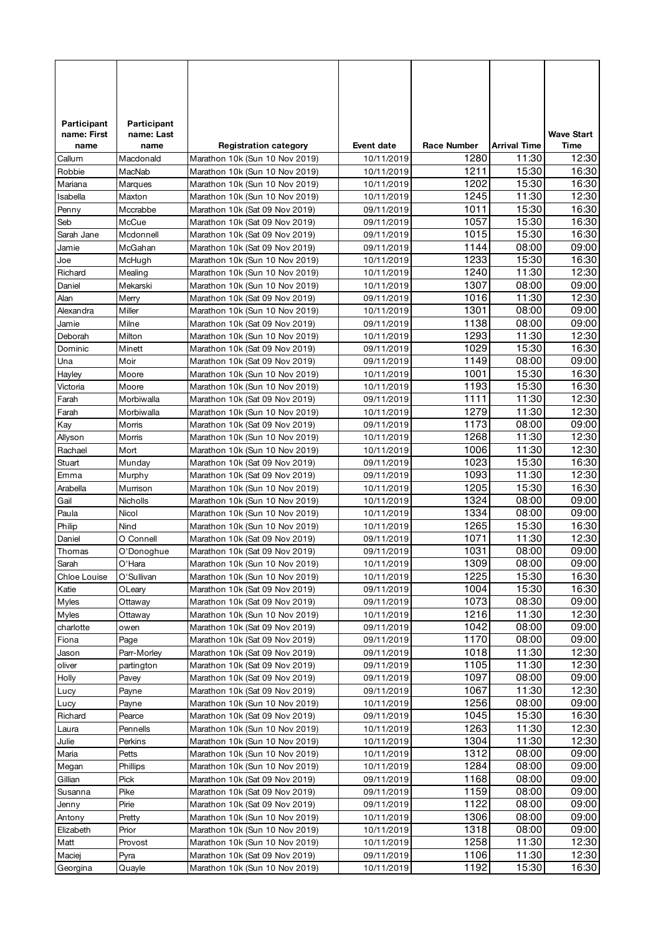| Participant         | Participant         |                                                                  |                          |                    |                     |                           |
|---------------------|---------------------|------------------------------------------------------------------|--------------------------|--------------------|---------------------|---------------------------|
| name: First<br>name | name: Last<br>name  |                                                                  | <b>Event date</b>        | <b>Race Number</b> | <b>Arrival Time</b> | <b>Wave Start</b><br>Time |
| Callum              | Macdonald           | <b>Registration category</b><br>Marathon 10k (Sun 10 Nov 2019)   | 10/11/2019               | 1280               | 11:30               | 12:30                     |
| Robbie              | MacNab              | Marathon 10k (Sun 10 Nov 2019)                                   | 10/11/2019               | 1211               | 15:30               | 16:30                     |
| Mariana             | Marques             | Marathon 10k (Sun 10 Nov 2019)                                   | 10/11/2019               | 1202               | 15:30               | 16:30                     |
| Isabella            | Maxton              | Marathon 10k (Sun 10 Nov 2019)                                   | 10/11/2019               | 1245               | 11:30               | 12:30                     |
| Penny               | Mccrabbe            | Marathon 10k (Sat 09 Nov 2019)                                   | 09/11/2019               | 1011               | 15:30               | 16:30                     |
| Seb                 | McCue               | Marathon 10k (Sat 09 Nov 2019)                                   | 09/11/2019               | 1057               | 15:30               | 16:30                     |
| Sarah Jane          | Mcdonnell           | Marathon 10k (Sat 09 Nov 2019)                                   | 09/11/2019               | 1015               | 15:30               | 16:30                     |
| Jamie               | McGahan             | Marathon 10k (Sat 09 Nov 2019)                                   | 09/11/2019               | 1144               | 08:00               | 09:00                     |
| Joe                 | McHugh              | Marathon 10k (Sun 10 Nov 2019)                                   | 10/11/2019               | 1233               | 15:30               | 16:30                     |
| Richard             | Mealing             | Marathon 10k (Sun 10 Nov 2019)                                   | 10/11/2019               | 1240               | 11:30               | 12:30                     |
| Daniel              | Mekarski            | Marathon 10k (Sun 10 Nov 2019)                                   | 10/11/2019               | 1307               | 08:00               | 09:00                     |
| Alan                | Merry               | Marathon 10k (Sat 09 Nov 2019)                                   | 09/11/2019               | 1016               | 11:30               | 12:30                     |
| Alexandra           | Miller              | Marathon 10k (Sun 10 Nov 2019)                                   | 10/11/2019               | 1301               | 08:00               | 09:00                     |
| Jamie               | Milne               | Marathon 10k (Sat 09 Nov 2019)                                   | 09/11/2019               | 1138               | 08:00               | 09:00                     |
| Deborah             | Milton              | Marathon 10k (Sun 10 Nov 2019)                                   | 10/11/2019               | 1293               | 11:30               | 12:30                     |
| Dominic             | Minett              | Marathon 10k (Sat 09 Nov 2019)                                   | 09/11/2019               | 1029               | 15:30               | 16:30                     |
| Una                 | Moir                | Marathon 10k (Sat 09 Nov 2019)                                   | 09/11/2019               | 1149               | 08:00               | 09:00                     |
| Hayley              | Moore               | Marathon 10k (Sun 10 Nov 2019)                                   | 10/11/2019               | 1001               | 15:30               | 16:30                     |
| Victoria            | Moore               | Marathon 10k (Sun 10 Nov 2019)                                   | 10/11/2019               | 1193               | 15:30               | 16:30                     |
| Farah               | Morbiwalla          | Marathon 10k (Sat 09 Nov 2019)                                   | 09/11/2019               | 1111               | 11:30               | 12:30                     |
| Farah               | Morbiwalla          | Marathon 10k (Sun 10 Nov 2019)                                   | 10/11/2019               | 1279               | 11:30               | 12:30<br>09:00            |
| Kay                 | Morris              | Marathon 10k (Sat 09 Nov 2019)                                   | 09/11/2019               | 1173<br>1268       | 08:00<br>11:30      | 12:30                     |
| Allyson             | Morris              | Marathon 10k (Sun 10 Nov 2019)                                   | 10/11/2019               | 1006               | 11:30               | 12:30                     |
| Rachael<br>Stuart   | Mort<br>Munday      | Marathon 10k (Sun 10 Nov 2019)<br>Marathon 10k (Sat 09 Nov 2019) | 10/11/2019<br>09/11/2019 | 1023               | 15:30               | 16:30                     |
| Emma                | Murphy              | Marathon 10k (Sat 09 Nov 2019)                                   | 09/11/2019               | 1093               | 11:30               | 12:30                     |
| Arabella            | Murrison            | Marathon 10k (Sun 10 Nov 2019)                                   | 10/11/2019               | 1205               | 15:30               | 16:30                     |
| Gail                | Nicholls            | Marathon 10k (Sun 10 Nov 2019)                                   | 10/11/2019               | 1324               | 08:00               | 09:00                     |
| Paula               | Nicol               | Marathon 10k (Sun 10 Nov 2019)                                   | 10/11/2019               | 1334               | 08:00               | 09:00                     |
| Philip              | Nind                | Marathon 10k (Sun 10 Nov 2019)                                   | 10/11/2019               | 1265               | 15:30               | 16:30                     |
| Daniel              | O Connell           | Marathon 10k (Sat 09 Nov 2019)                                   | 09/11/2019               | 1071               | 11:30               | 12:30                     |
| Thomas              | O'Donoghue          | Marathon 10k (Sat 09 Nov 2019)                                   | 09/11/2019               | 1031               | 08:00               | 09:00                     |
| Sarah               | O'Hara              | Marathon 10k (Sun 10 Nov 2019)                                   | 10/11/2019               | 1309               | 08:00               | 09:00                     |
| Chloe Louise        | O'Sullivan          | Marathon 10k (Sun 10 Nov 2019)                                   | 10/11/2019               | 1225               | 15:30               | 16:30                     |
| Katie               | OLeary              | Marathon 10k (Sat 09 Nov 2019)                                   | 09/11/2019               | 1004               | 15:30               | 16:30                     |
| Myles               | Ottaway             | Marathon 10k (Sat 09 Nov 2019)                                   | 09/11/2019               | 1073               | 08:30               | 09:00                     |
| Myles               | Ottaway             | Marathon 10k (Sun 10 Nov 2019)                                   | 10/11/2019               | 1216               | 11:30               | 12:30                     |
| charlotte           | owen                | Marathon 10k (Sat 09 Nov 2019)                                   | 09/11/2019               | 1042               | 08:00               | 09:00                     |
| Fiona               | Page                | Marathon 10k (Sat 09 Nov 2019)                                   | 09/11/2019               | 1170               | 08:00               | 09:00                     |
| Jason               | Parr-Morley         | Marathon 10k (Sat 09 Nov 2019)                                   | 09/11/2019               | 1018               | 11:30               | 12:30                     |
| oliver              | partington          | Marathon 10k (Sat 09 Nov 2019)                                   | 09/11/2019               | 1105               | 11:30               | 12:30                     |
| Holly               | Pavey               | Marathon 10k (Sat 09 Nov 2019)                                   | 09/11/2019               | 1097               | 08:00               | 09:00                     |
| Lucy                | Payne               | Marathon 10k (Sat 09 Nov 2019)                                   | 09/11/2019               | 1067               | 11:30               | 12:30                     |
| Lucy                | Payne               | Marathon 10k (Sun 10 Nov 2019)                                   | 10/11/2019               | 1256               | 08:00               | 09:00                     |
| Richard             | Pearce              | Marathon 10k (Sat 09 Nov 2019)                                   | 09/11/2019               | 1045               | 15:30               | 16:30                     |
| Laura<br>Julie      | Pennells<br>Perkins | Marathon 10k (Sun 10 Nov 2019)<br>Marathon 10k (Sun 10 Nov 2019) | 10/11/2019<br>10/11/2019 | 1263<br>1304       | 11:30<br>11:30      | 12:30<br>12:30            |
| Maria               | Petts               | Marathon 10k (Sun 10 Nov 2019)                                   | 10/11/2019               | 1312               | 08:00               | 09:00                     |
| Megan               | Phillips            | Marathon 10k (Sun 10 Nov 2019)                                   | 10/11/2019               | 1284               | 08:00               | 09:00                     |
| Gillian             | Pick                | Marathon 10k (Sat 09 Nov 2019)                                   | 09/11/2019               | 1168               | 08:00               | 09:00                     |
| Susanna             | Pike                | Marathon 10k (Sat 09 Nov 2019)                                   | 09/11/2019               | 1159               | 08:00               | 09:00                     |
| Jenny               | Pirie               | Marathon 10k (Sat 09 Nov 2019)                                   | 09/11/2019               | 1122               | 08:00               | 09:00                     |
| Antony              | Pretty              | Marathon 10k (Sun 10 Nov 2019)                                   | 10/11/2019               | 1306               | 08:00               | 09:00                     |
| Elizabeth           | Prior               | Marathon 10k (Sun 10 Nov 2019)                                   | 10/11/2019               | 1318               | 08:00               | 09:00                     |
| Matt                | Provost             | Marathon 10k (Sun 10 Nov 2019)                                   | 10/11/2019               | 1258               | 11:30               | 12:30                     |
| Maciej              | Pyra                | Marathon 10k (Sat 09 Nov 2019)                                   | 09/11/2019               | 1106               | 11:30               | 12:30                     |
| Georgina            | Quayle              | Marathon 10k (Sun 10 Nov 2019)                                   | 10/11/2019               | 1192               | 15:30               | 16:30                     |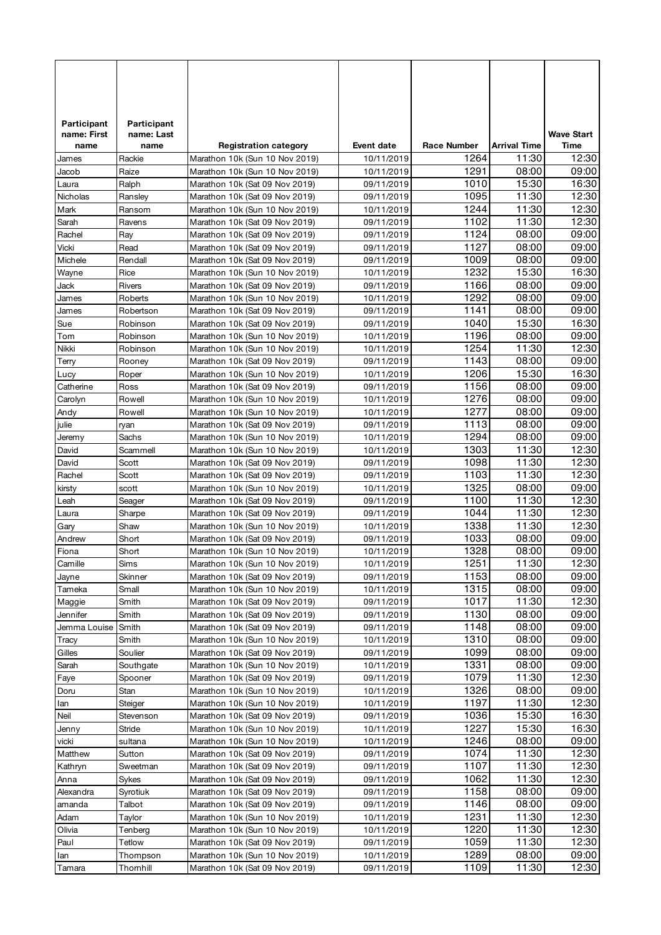| Participant    | Participant         |                                                                  |                          |                    |                     |                   |
|----------------|---------------------|------------------------------------------------------------------|--------------------------|--------------------|---------------------|-------------------|
| name: First    | name: Last          |                                                                  |                          |                    |                     | <b>Wave Start</b> |
| name           | name                | <b>Registration category</b>                                     | <b>Event date</b>        | <b>Race Number</b> | <b>Arrival Time</b> | Time              |
| James          | Rackie              | Marathon 10k (Sun 10 Nov 2019)                                   | 10/11/2019               | 1264               | 11:30               | 12:30             |
| Jacob          | Raize               | Marathon 10k (Sun 10 Nov 2019)                                   | 10/11/2019               | 1291               | 08:00               | 09:00             |
| Laura          | Ralph               | Marathon 10k (Sat 09 Nov 2019)                                   | 09/11/2019               | 1010               | 15:30               | 16:30             |
| Nicholas       | Ransley             | Marathon 10k (Sat 09 Nov 2019)                                   | 09/11/2019               | 1095               | 11:30               | 12:30             |
| Mark           | Ransom              | Marathon 10k (Sun 10 Nov 2019)                                   | 10/11/2019               | 1244               | 11:30               | 12:30             |
| Sarah          | Ravens              | Marathon 10k (Sat 09 Nov 2019)                                   | 09/11/2019               | 1102               | 11:30               | 12:30             |
| Rachel         | Ray                 | Marathon 10k (Sat 09 Nov 2019)                                   | 09/11/2019               | 1124<br>1127       | 08:00<br>08:00      | 09:00<br>09:00    |
| Vicki          | Read                | Marathon 10k (Sat 09 Nov 2019)                                   | 09/11/2019               | 1009               | 08:00               | 09:00             |
| Michele        | Rendall             | Marathon 10k (Sat 09 Nov 2019)                                   | 09/11/2019               | 1232               | 15:30               | 16:30             |
| Wayne<br>Jack  | Rice<br>Rivers      | Marathon 10k (Sun 10 Nov 2019)<br>Marathon 10k (Sat 09 Nov 2019) | 10/11/2019<br>09/11/2019 | 1166               | 08:00               | 09:00             |
| James          | Roberts             | Marathon 10k (Sun 10 Nov 2019)                                   | 10/11/2019               | 1292               | 08:00               | 09:00             |
| James          | Robertson           | Marathon 10k (Sat 09 Nov 2019)                                   | 09/11/2019               | 1141               | 08:00               | 09:00             |
| Sue            | Robinson            | Marathon 10k (Sat 09 Nov 2019)                                   | 09/11/2019               | 1040               | 15:30               | 16:30             |
| Tom            | Robinson            | Marathon 10k (Sun 10 Nov 2019)                                   | 10/11/2019               | 1196               | 08:00               | 09:00             |
| Nikki          | Robinson            | Marathon 10k (Sun 10 Nov 2019)                                   | 10/11/2019               | 1254               | 11:30               | 12:30             |
| Terry          | Rooney              | Marathon 10k (Sat 09 Nov 2019)                                   | 09/11/2019               | 1143               | 08:00               | 09:00             |
| Lucy           | Roper               | Marathon 10k (Sun 10 Nov 2019)                                   | 10/11/2019               | 1206               | 15:30               | 16:30             |
| Catherine      | Ross                | Marathon 10k (Sat 09 Nov 2019)                                   | 09/11/2019               | 1156               | 08:00               | 09:00             |
| Carolyn        | Rowell              | Marathon 10k (Sun 10 Nov 2019)                                   | 10/11/2019               | 1276               | 08:00               | 09:00             |
| Andy           | Rowell              | Marathon 10k (Sun 10 Nov 2019)                                   | 10/11/2019               | 1277               | 08:00               | 09:00             |
| julie          | ryan                | Marathon 10k (Sat 09 Nov 2019)                                   | 09/11/2019               | 1113               | 08:00               | 09:00             |
| Jeremy         | Sachs               | Marathon 10k (Sun 10 Nov 2019)                                   | 10/11/2019               | 1294               | 08:00               | 09:00             |
| David          | Scammell            | Marathon 10k (Sun 10 Nov 2019)                                   | 10/11/2019               | 1303               | 11:30               | 12:30             |
| David          | Scott               | Marathon 10k (Sat 09 Nov 2019)                                   | 09/11/2019               | 1098               | 11:30               | 12:30             |
| Rachel         | Scott               | Marathon 10k (Sat 09 Nov 2019)                                   | 09/11/2019               | 1103               | 11:30               | 12:30             |
| kirsty         | scott               | Marathon 10k (Sun 10 Nov 2019)                                   | 10/11/2019               | 1325               | 08:00               | 09:00             |
| Leah           | Seager              | Marathon 10k (Sat 09 Nov 2019)                                   | 09/11/2019               | 1100               | 11:30               | 12:30             |
| Laura          | Sharpe              | Marathon 10k (Sat 09 Nov 2019)                                   | 09/11/2019               | 1044               | 11:30               | 12:30             |
| Gary           | Shaw                | Marathon 10k (Sun 10 Nov 2019)                                   | 10/11/2019               | 1338               | 11:30               | 12:30             |
| Andrew         | Short               | Marathon 10k (Sat 09 Nov 2019)                                   | 09/11/2019               | 1033               | 08:00               | 09:00             |
| Fiona          | Short               | Marathon 10k (Sun 10 Nov 2019)                                   | 10/11/2019               | 1328               | 08:00               | 09:00             |
| Camille        | Sims                | Marathon 10k (Sun 10 Nov 2019)                                   | 10/11/2019               | 1251               | 11:30               | 12:30             |
| Jayne          | Skinner             | Marathon 10k (Sat 09 Nov 2019)                                   | 09/11/2019               | 1153               | 08:00               | 09:00             |
| Tameka         | Small               | Marathon 10k (Sun 10 Nov 2019)                                   | 10/11/2019               | 1315               | 08:00               | 09:00             |
| Maggie         | Smith               | Marathon 10k (Sat 09 Nov 2019)                                   | 09/11/2019               | 1017               | 11:30               | 12:30             |
| Jennifer       | Smith               | Marathon 10k (Sat 09 Nov 2019)                                   | 09/11/2019               | 1130               | 08:00               | 09:00             |
| Jemma Louise   | Smith               | Marathon 10k (Sat 09 Nov 2019)                                   | 09/11/2019               | 1148               | 08:00               | 09:00             |
| Tracy          | Smith               | Marathon 10k (Sun 10 Nov 2019)                                   | 10/11/2019               | 1310               | 08:00               | 09:00             |
| Gilles         | Soulier             | Marathon 10k (Sat 09 Nov 2019)                                   | 09/11/2019               | 1099               | 08:00               | 09:00             |
| Sarah          | Southgate           | Marathon 10k (Sun 10 Nov 2019)                                   | 10/11/2019               | 1331               | 08:00               | 09:00             |
| Faye           | Spooner             | Marathon 10k (Sat 09 Nov 2019)                                   | 09/11/2019               | 1079               | 11:30               | 12:30             |
| Doru           | Stan                | Marathon 10k (Sun 10 Nov 2019)                                   | 10/11/2019               | 1326<br>1197       | 08:00               | 09:00<br>12:30    |
| lan<br>Neil    | Steiger             | Marathon 10k (Sun 10 Nov 2019)<br>Marathon 10k (Sat 09 Nov 2019) | 10/11/2019               | 1036               | 11:30<br>15:30      | 16:30             |
|                | Stevenson<br>Stride | Marathon 10k (Sun 10 Nov 2019)                                   | 09/11/2019               | 1227               | 15:30               | 16:30             |
| Jenny<br>vicki | sultana             | Marathon 10k (Sun 10 Nov 2019)                                   | 10/11/2019<br>10/11/2019 | 1246               | 08:00               | 09:00             |
| Matthew        | Sutton              | Marathon 10k (Sat 09 Nov 2019)                                   | 09/11/2019               | 1074               | 11:30               | 12:30             |
| Kathryn        | Sweetman            | Marathon 10k (Sat 09 Nov 2019)                                   | 09/11/2019               | 1107               | 11:30               | 12:30             |
| Anna           | Sykes               | Marathon 10k (Sat 09 Nov 2019)                                   | 09/11/2019               | 1062               | 11:30               | 12:30             |
| Alexandra      | Syrotiuk            | Marathon 10k (Sat 09 Nov 2019)                                   | 09/11/2019               | 1158               | 08:00               | 09:00             |
| amanda         | Talbot              | Marathon 10k (Sat 09 Nov 2019)                                   | 09/11/2019               | 1146               | 08:00               | 09:00             |
| Adam           | Taylor              | Marathon 10k (Sun 10 Nov 2019)                                   | 10/11/2019               | 1231               | 11:30               | 12:30             |
| Olivia         | Tenberg             | Marathon 10k (Sun 10 Nov 2019)                                   | 10/11/2019               | 1220               | 11:30               | 12:30             |
| Paul           | Tetlow              | Marathon 10k (Sat 09 Nov 2019)                                   | 09/11/2019               | 1059               | 11:30               | 12:30             |
| lan            | Thompson            | Marathon 10k (Sun 10 Nov 2019)                                   | 10/11/2019               | 1289               | 08:00               | 09:00             |
| Tamara         | Thomhill            | Marathon 10k (Sat 09 Nov 2019)                                   | 09/11/2019               | 1109               | 11:30               | 12:30             |